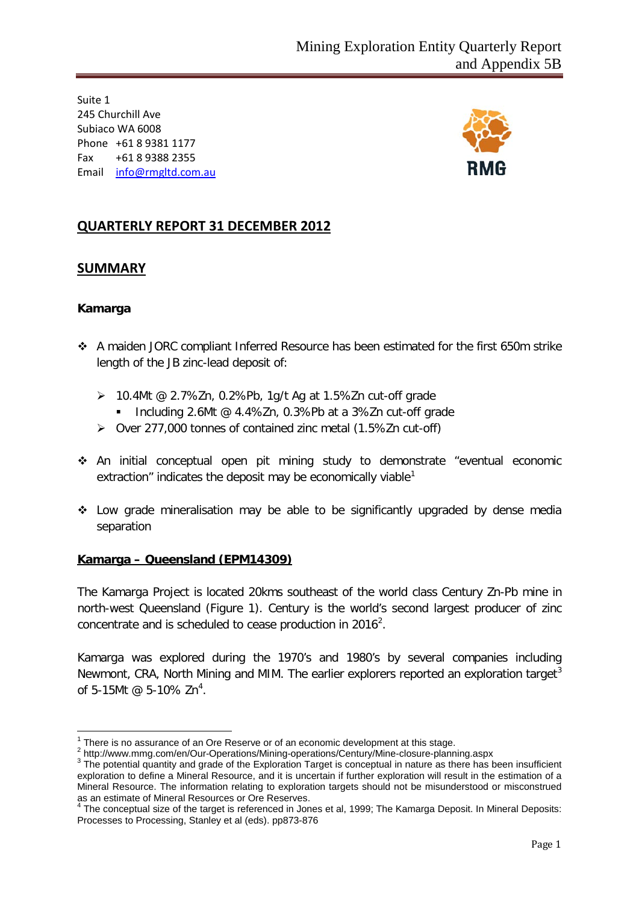Suite 1 245 Churchill Ave Subiaco WA 6008 Phone +61 8 9381 1177 Fax +61 8 9388 2355 Email [info@rmgltd.com.au](mailto:info@rmgltd.com.au)



## **QUARTERLY REPORT 31 DECEMBER 2012**

#### **SUMMARY**

#### **Kamarga**

- A maiden JORC compliant Inferred Resource has been estimated for the first 650m strike length of the JB zinc-lead deposit of:
	- $\geq 10.4$ Mt @ 2.7%Zn, 0.2%Pb, 1g/t Ag at 1.5%Zn cut-off grade
		- Including 2.6Mt @ 4.4%Zn, 0.3%Pb at a 3%Zn cut-off grade
	- Over 277,000 tonnes of contained zinc metal (1.5%Zn cut-off)
- An initial conceptual open pit mining study to demonstrate "eventual economic extraction" indicates the deposit may be economically viable<sup>[1](#page-0-0)</sup>
- Low grade mineralisation may be able to be significantly upgraded by dense media separation

#### **Kamarga – Queensland (EPM14309)**

The Kamarga Project is located 20kms southeast of the world class Century Zn-Pb mine in north-west Queensland (Figure 1). Century is the world's second largest producer of zinc concentrate and is scheduled to cease production in  $2016^2$  $2016^2$ .

Kamarga was explored during the 1970's and 1980's by several companies including Newmont, CRA, North Mining and MIM. The earlier explorers reported an exploration target<sup>[3](#page-0-2)</sup> of 5-15Mt  $@$  5-10% Zn<sup>[4](#page-0-3)</sup>.

<span id="page-0-2"></span>

<span id="page-0-1"></span><span id="page-0-0"></span><sup>&</sup>lt;sup>1</sup> There is no assurance of an Ore Reserve or of an economic development at this stage.<br>
<sup>2</sup> http://www.mmg.com/en/Our-Operations/Mining-operations/Century/Mine-closure-planning.aspx<br>
<sup>3</sup> The potential quantity and grade exploration to define a Mineral Resource, and it is uncertain if further exploration will result in the estimation of a Mineral Resource. The information relating to exploration targets should not be misunderstood or misconstrued as an estimate of Mineral Resources or Ore Reserves.

<span id="page-0-3"></span>The conceptual size of the target is referenced in Jones et al, 1999; The Kamarga Deposit. In Mineral Deposits: Processes to Processing, Stanley et al (eds). pp873-876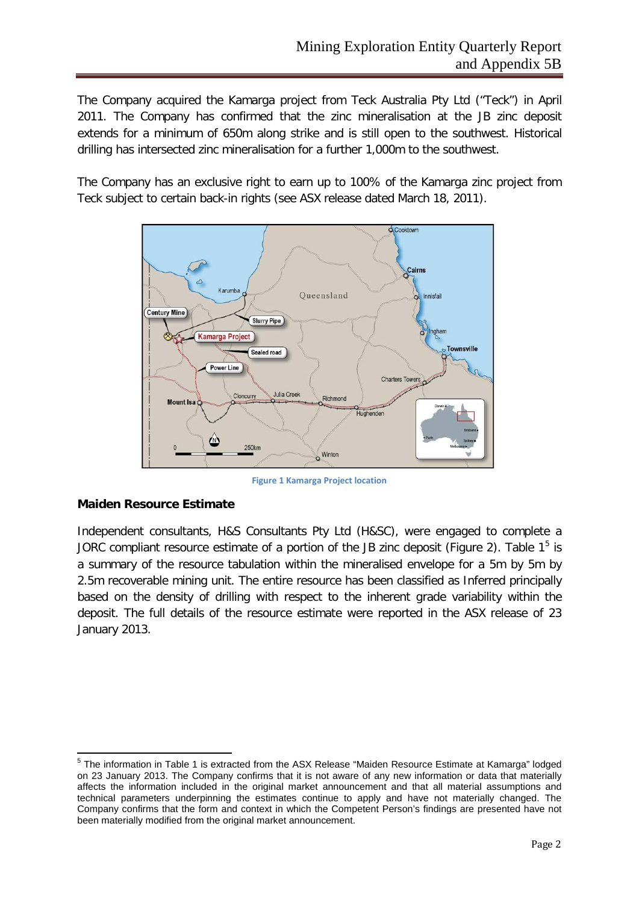The Company acquired the Kamarga project from Teck Australia Pty Ltd ("Teck") in April 2011. The Company has confirmed that the zinc mineralisation at the JB zinc deposit extends for a minimum of 650m along strike and is still open to the southwest. Historical drilling has intersected zinc mineralisation for a further 1,000m to the southwest.

The Company has an exclusive right to earn up to 100% of the Kamarga zinc project from Teck subject to certain back-in rights (see ASX release dated March 18, 2011).



**Figure 1 Kamarga Project location**

#### **Maiden Resource Estimate**

Independent consultants, H&S Consultants Pty Ltd (H&SC), were engaged to complete a JORC compliant resource estimate of a portion of the JB zinc deposit (Figure 2). Table  $1<sup>5</sup>$  $1<sup>5</sup>$  $1<sup>5</sup>$  is a summary of the resource tabulation within the mineralised envelope for a 5m by 5m by 2.5m recoverable mining unit. The entire resource has been classified as Inferred principally based on the density of drilling with respect to the inherent grade variability within the deposit. The full details of the resource estimate were reported in the ASX release of 23 January 2013.

<span id="page-1-0"></span><sup>5</sup> The information in Table 1 is extracted from the ASX Release "Maiden Resource Estimate at Kamarga" lodged on 23 January 2013. The Company confirms that it is not aware of any new information or data that materially affects the information included in the original market announcement and that all material assumptions and technical parameters underpinning the estimates continue to apply and have not materially changed. The Company confirms that the form and context in which the Competent Person's findings are presented have not been materially modified from the original market announcement.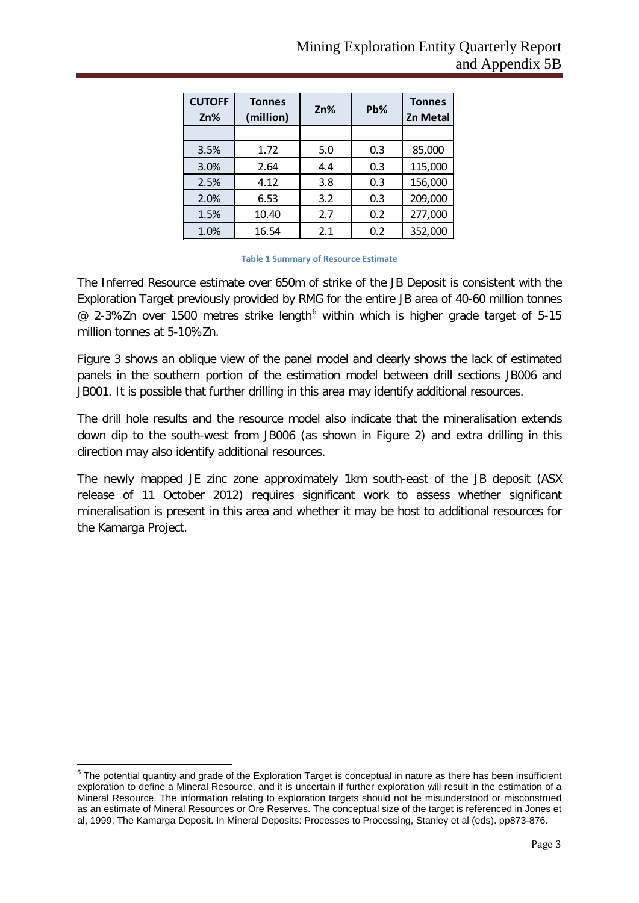| <b>CUTOFF</b><br>Zn% | <b>Tonnes</b><br>(million) | Zn% | Pb% | <b>Tonnes</b><br><b>Zn Metal</b> |
|----------------------|----------------------------|-----|-----|----------------------------------|
|                      |                            |     |     |                                  |
| 3.5%                 | 1.72                       | 5.0 | 0.3 | 85,000                           |
| 3.0%                 | 2.64                       | 4.4 | 0.3 | 115,000                          |
| 2.5%                 | 4.12                       | 3.8 | 0.3 | 156,000                          |
| 2.0%                 | 6.53                       | 3.2 | 0.3 | 209,000                          |
| 1.5%                 | 10.40                      | 2.7 | 0.2 | 277,000                          |
| 1.0%                 | 16.54                      | 2.1 | 0.2 | 352,000                          |

#### **Table 1 Summary of Resource Estimate**

The Inferred Resource estimate over 650m of strike of the JB Deposit is consistent with the Exploration Target previously provided by RMG for the entire JB area of 40-60 million tonnes  $\omega$  2-3%Zn over 1500 metres strike length<sup>[6](#page-2-0)</sup> within which is higher grade target of 5-15 million tonnes at 5-10%Zn.

Figure 3 shows an oblique view of the panel model and clearly shows the lack of estimated panels in the southern portion of the estimation model between drill sections JB006 and JB001. It is possible that further drilling in this area may identify additional resources.

The drill hole results and the resource model also indicate that the mineralisation extends down dip to the south-west from JB006 (as shown in Figure 2) and extra drilling in this direction may also identify additional resources.

The newly mapped JE zinc zone approximately 1km south-east of the JB deposit (ASX release of 11 October 2012) requires significant work to assess whether significant mineralisation is present in this area and whether it may be host to additional resources for the Kamarga Project.

<span id="page-2-0"></span> $6$  The potential quantity and grade of the Exploration Target is conceptual in nature as there has been insufficient exploration to define a Mineral Resource, and it is uncertain if further exploration will result in the estimation of a Mineral Resource. The information relating to exploration targets should not be misunderstood or misconstrued as an estimate of Mineral Resources or Ore Reserves. The conceptual size of the target is referenced in Jones et al, 1999; The Kamarga Deposit. In Mineral Deposits: Processes to Processing, Stanley et al (eds). pp873-876.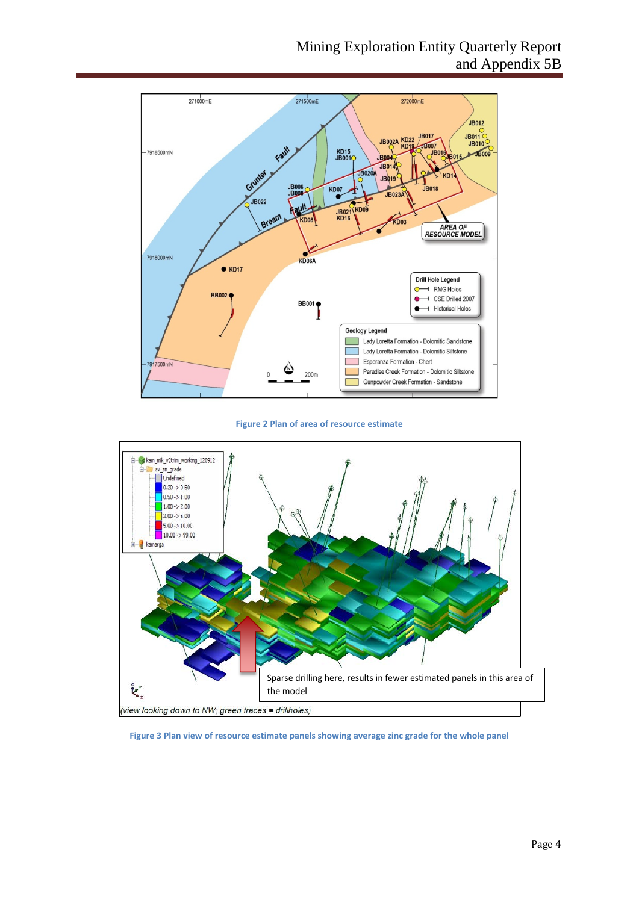

**Figure 2 Plan of area of resource estimate**



**Figure 3 Plan view of resource estimate panels showing average zinc grade for the whole panel**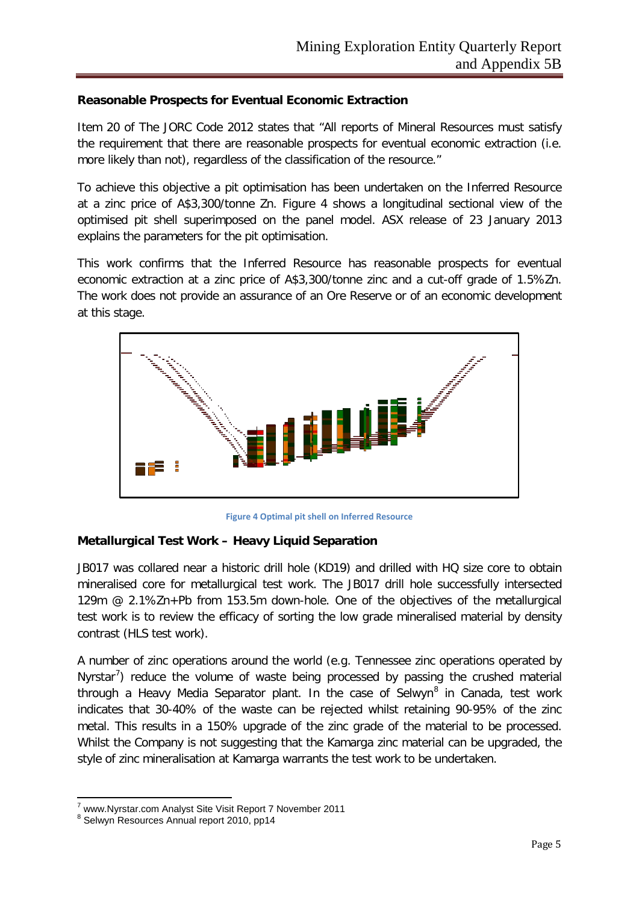#### **Reasonable Prospects for Eventual Economic Extraction**

Item 20 of The JORC Code 2012 states that "All reports of Mineral Resources must satisfy the requirement that there are reasonable prospects for eventual economic extraction (i.e. more likely than not), regardless of the classification of the resource."

To achieve this objective a pit optimisation has been undertaken on the Inferred Resource at a zinc price of A\$3,300/tonne Zn. Figure 4 shows a longitudinal sectional view of the optimised pit shell superimposed on the panel model. ASX release of 23 January 2013 explains the parameters for the pit optimisation.

This work confirms that the Inferred Resource has reasonable prospects for eventual economic extraction at a zinc price of A\$3,300/tonne zinc and a cut-off grade of 1.5%Zn. The work does not provide an assurance of an Ore Reserve or of an economic development at this stage.



**Figure 4 Optimal pit shell on Inferred Resource**

#### **Metallurgical Test Work – Heavy Liquid Separation**

JB017 was collared near a historic drill hole (KD19) and drilled with HQ size core to obtain mineralised core for metallurgical test work. The JB017 drill hole successfully intersected 129m @ 2.1%Zn+Pb from 153.5m down-hole. One of the objectives of the metallurgical test work is to review the efficacy of sorting the low grade mineralised material by density contrast (HLS test work).

A number of zinc operations around the world (e.g. Tennessee zinc operations operated by Nyrstar<sup>[7](#page-4-0)</sup>) reduce the volume of waste being processed by passing the crushed material through a Heavy Media Separator plant. In the case of Selwyn $<sup>8</sup>$  $<sup>8</sup>$  $<sup>8</sup>$  in Canada, test work</sup> indicates that 30-40% of the waste can be rejected whilst retaining 90-95% of the zinc metal. This results in a 150% upgrade of the zinc grade of the material to be processed. Whilst the Company is not suggesting that the Kamarga zinc material can be upgraded, the style of zinc mineralisation at Kamarga warrants the test work to be undertaken.

<span id="page-4-1"></span><span id="page-4-0"></span> $7$  www.Nyrstar.com Analyst Site Visit Report 7 November 2011<br>  $8$  Selwyn Resources Annual report 2010, pp14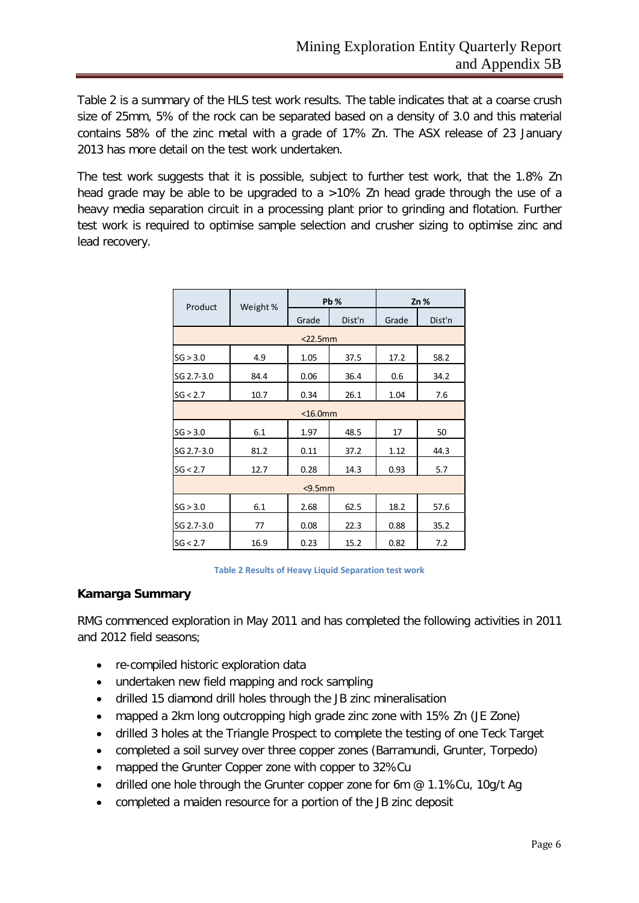Table 2 is a summary of the HLS test work results. The table indicates that at a coarse crush size of 25mm, 5% of the rock can be separated based on a density of 3.0 and this material contains 58% of the zinc metal with a grade of 17% Zn. The ASX release of 23 January 2013 has more detail on the test work undertaken.

The test work suggests that it is possible, subject to further test work, that the 1.8% Zn head grade may be able to be upgraded to a >10% Zn head grade through the use of a heavy media separation circuit in a processing plant prior to grinding and flotation. Further test work is required to optimise sample selection and crusher sizing to optimise zinc and lead recovery.

| Product    | Weight %      | Pb%           |        |       | $Zn$ % |  |  |
|------------|---------------|---------------|--------|-------|--------|--|--|
|            |               | Grade         | Dist'n | Grade | Dist'n |  |  |
|            |               | $<$ 22.5 $mm$ |        |       |        |  |  |
| SG > 3.0   | 4.9           | 1.05          | 37.5   | 17.2  | 58.2   |  |  |
| SG 2.7-3.0 | 84.4          | 0.06          | 36.4   | 0.6   | 34.2   |  |  |
| SG < 2.7   | 10.7          | 0.34          | 26.1   | 1.04  | 7.6    |  |  |
|            | $<$ 16.0 $mm$ |               |        |       |        |  |  |
| SG > 3.0   | 6.1           | 1.97          | 48.5   | 17    | 50     |  |  |
| SG 2.7-3.0 | 81.2          | 0.11          | 37.2   | 1.12  | 44.3   |  |  |
| SG < 2.7   | 12.7          | 0.28          | 14.3   | 0.93  | 5.7    |  |  |
|            | $9.5mm$       |               |        |       |        |  |  |
| SG > 3.0   | 6.1           | 2.68          | 62.5   | 18.2  | 57.6   |  |  |
| SG 2.7-3.0 | 77            | 0.08          | 22.3   | 0.88  | 35.2   |  |  |
| SG < 2.7   | 16.9          | 0.23          | 15.2   | 0.82  | 7.2    |  |  |

**Table 2 Results of Heavy Liquid Separation test work**

#### **Kamarga Summary**

RMG commenced exploration in May 2011 and has completed the following activities in 2011 and 2012 field seasons;

- re-compiled historic exploration data
- undertaken new field mapping and rock sampling
- drilled 15 diamond drill holes through the JB zinc mineralisation
- mapped a 2km long outcropping high grade zinc zone with 15% Zn (JE Zone)
- drilled 3 holes at the Triangle Prospect to complete the testing of one Teck Target
- completed a soil survey over three copper zones (Barramundi, Grunter, Torpedo)
- mapped the Grunter Copper zone with copper to 32%Cu
- drilled one hole through the Grunter copper zone for 6m @ 1.1%Cu, 10g/t Ag
- completed a maiden resource for a portion of the JB zinc deposit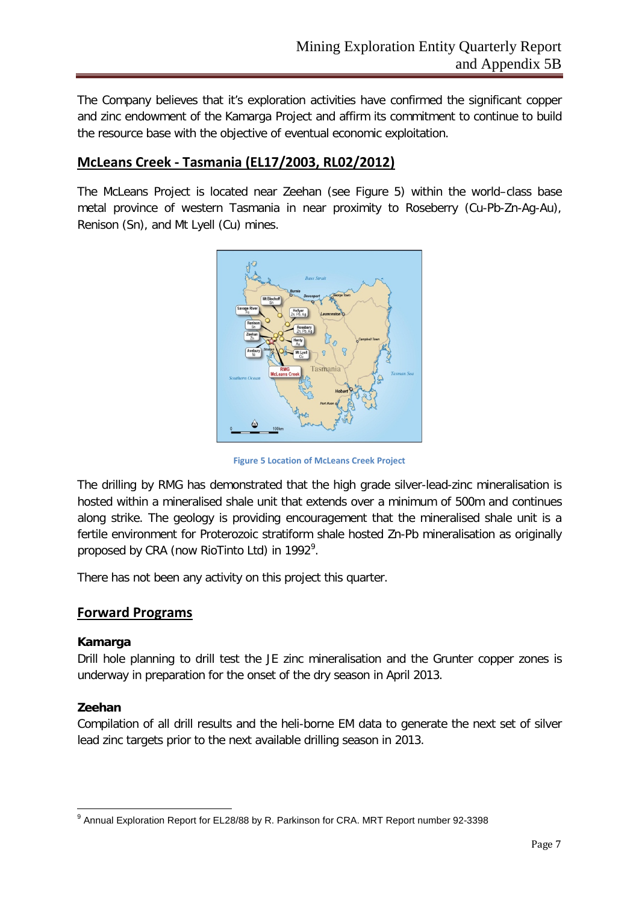The Company believes that it's exploration activities have confirmed the significant copper and zinc endowment of the Kamarga Project and affirm its commitment to continue to build the resource base with the objective of eventual economic exploitation.

## **McLeans Creek - Tasmania (EL17/2003, RL02/2012)**

The McLeans Project is located near Zeehan (see Figure 5) within the world–class base metal province of western Tasmania in near proximity to Roseberry (Cu-Pb-Zn-Ag-Au), Renison (Sn), and Mt Lyell (Cu) mines.



**Figure 5 Location of McLeans Creek Project**

The drilling by RMG has demonstrated that the high grade silver-lead-zinc mineralisation is hosted within a mineralised shale unit that extends over a minimum of 500m and continues along strike. The geology is providing encouragement that the mineralised shale unit is a fertile environment for Proterozoic stratiform shale hosted Zn-Pb mineralisation as originally proposed by CRA (now RioTinto Ltd) in 1[9](#page-6-0)92 $^9$ .

There has not been any activity on this project this quarter.

#### **Forward Programs**

#### **Kamarga**

Drill hole planning to drill test the JE zinc mineralisation and the Grunter copper zones is underway in preparation for the onset of the dry season in April 2013.

#### **Zeehan**

Compilation of all drill results and the heli-borne EM data to generate the next set of silver lead zinc targets prior to the next available drilling season in 2013.

<span id="page-6-0"></span><sup>&</sup>lt;sup>9</sup> Annual Exploration Report for EL28/88 by R. Parkinson for CRA. MRT Report number 92-3398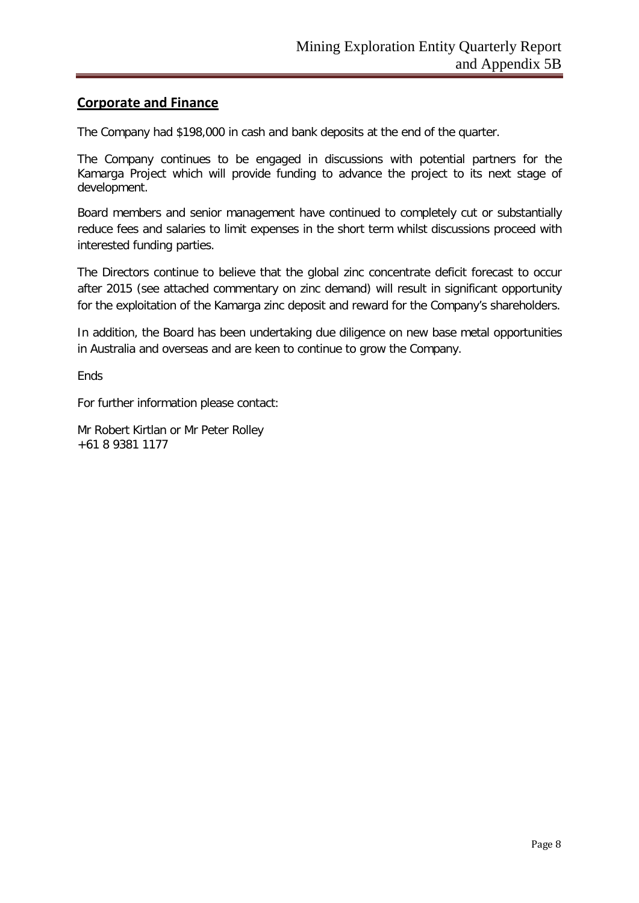### **Corporate and Finance**

The Company had \$198,000 in cash and bank deposits at the end of the quarter.

The Company continues to be engaged in discussions with potential partners for the Kamarga Project which will provide funding to advance the project to its next stage of development.

Board members and senior management have continued to completely cut or substantially reduce fees and salaries to limit expenses in the short term whilst discussions proceed with interested funding parties.

The Directors continue to believe that the global zinc concentrate deficit forecast to occur after 2015 (see attached commentary on zinc demand) will result in significant opportunity for the exploitation of the Kamarga zinc deposit and reward for the Company's shareholders.

In addition, the Board has been undertaking due diligence on new base metal opportunities in Australia and overseas and are keen to continue to grow the Company.

Ends

For further information please contact:

Mr Robert Kirtlan or Mr Peter Rolley +61 8 9381 1177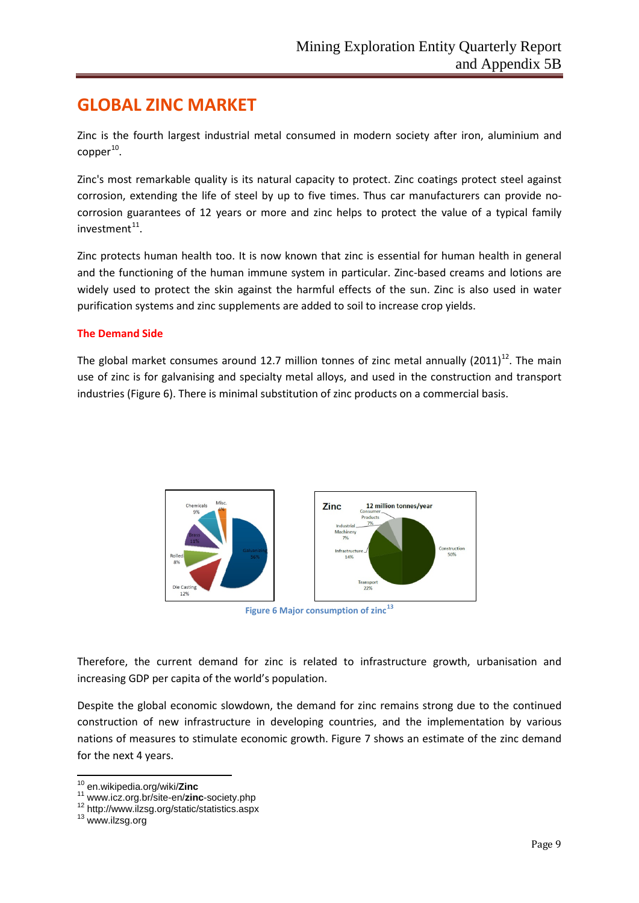## **GLOBAL ZINC MARKET**

Zinc is the fourth largest industrial metal consumed in modern society after iron, aluminium and  $copper^{10}$ .

Zinc's most remarkable quality is its natural capacity to protect. Zinc coatings protect steel against corrosion, extending the life of steel by up to five times. Thus car manufacturers can provide nocorrosion guarantees of 12 years or more and zinc helps to protect the value of a typical family  $investment<sup>11</sup>$ .

Zinc protects human health too. It is now known that zinc is essential for human health in general and the functioning of the human immune system in particular. Zinc-based creams and lotions are widely used to protect the skin against the harmful effects of the sun. Zinc is also used in water purification systems and zinc supplements are added to soil to increase crop yields.

#### **The Demand Side**

The global market consumes around [12](#page-8-2).7 million tonnes of zinc metal annually  $(2011)^{12}$ . The main use of zinc is for galvanising and specialty metal alloys, and used in the construction and transport industries (Figure 6). There is minimal substitution of zinc products on a commercial basis.



**Figure 6 Major consumption of zinc[13](#page-8-3)**

Therefore, the current demand for zinc is related to infrastructure growth, urbanisation and increasing GDP per capita of the world's population.

Despite the global economic slowdown, the demand for zinc remains strong due to the continued construction of new infrastructure in developing countries, and the implementation by various nations of measures to stimulate economic growth. Figure 7 shows an estimate of the zinc demand for the next 4 years.

<span id="page-8-1"></span><span id="page-8-0"></span><sup>10</sup> en.wikipedia.org/wiki/**Zinc** <sup>11</sup> www.icz.org.br/site-en/**zinc**-society.php <sup>12</sup> http://www.ilzsg.org/static/statistics.aspx <sup>13</sup> www.ilzsg.org

<span id="page-8-2"></span>

<span id="page-8-3"></span>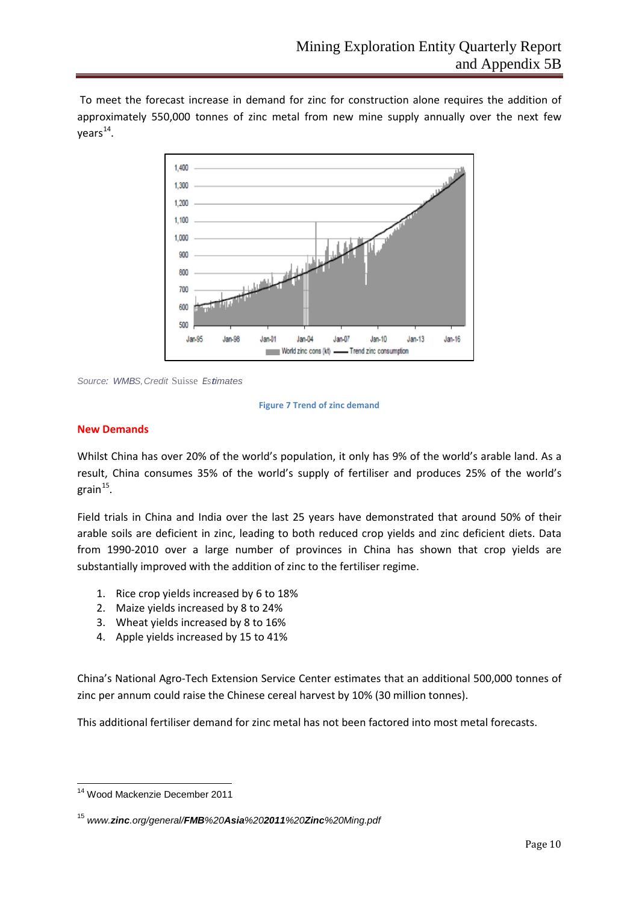To meet the forecast increase in demand for zinc for construction alone requires the addition of approximately 550,000 tonnes of zinc metal from new mine supply annually over the next few  $years<sup>14</sup>$  $years<sup>14</sup>$  $years<sup>14</sup>$ .



*Source: WMBS,Credit* Suisse *Estimates*

#### **Figure 7 Trend of zinc demand**

#### **New Demands**

Whilst China has over 20% of the world's population, it only has 9% of the world's arable land. As a result, China consumes 35% of the world's supply of fertiliser and produces 25% of the world's grain $15$ .

Field trials in China and India over the last 25 years have demonstrated that around 50% of their arable soils are deficient in zinc, leading to both reduced crop yields and zinc deficient diets. Data from 1990-2010 over a large number of provinces in China has shown that crop yields are substantially improved with the addition of zinc to the fertiliser regime.

- 1. Rice crop yields increased by 6 to 18%
- 2. Maize yields increased by 8 to 24%
- 3. Wheat yields increased by 8 to 16%
- 4. Apple yields increased by 15 to 41%

China's National Agro-Tech Extension Service Center estimates that an additional 500,000 tonnes of zinc per annum could raise the Chinese cereal harvest by 10% (30 million tonnes).

This additional fertiliser demand for zinc metal has not been factored into most metal forecasts.

<span id="page-9-0"></span><sup>14</sup> Wood Mackenzie December 2011

<span id="page-9-1"></span><sup>15</sup> *www.zinc.org/general/FMB%20Asia%202011%20Zinc%20Ming.pdf*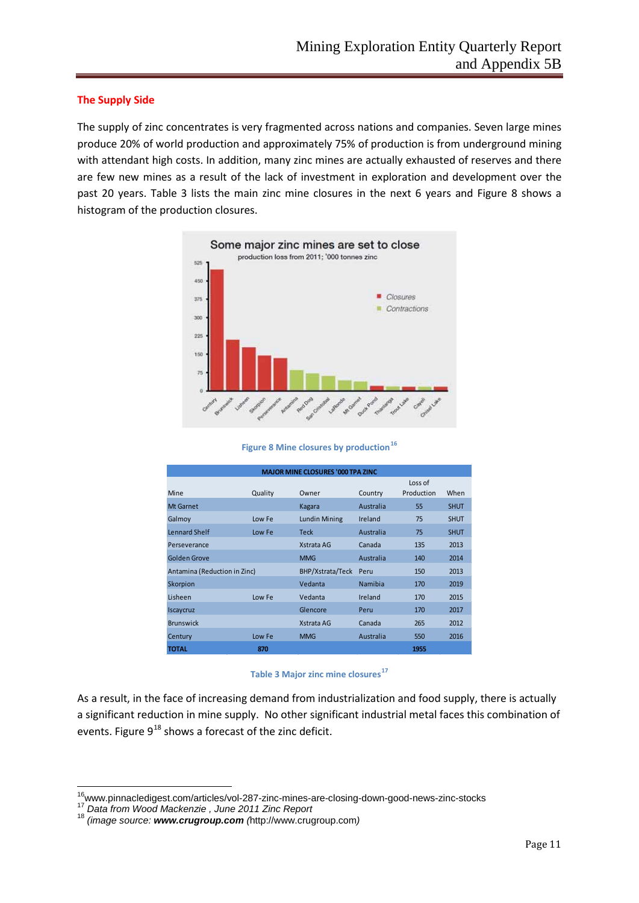#### **The Supply Side**

The supply of zinc concentrates is very fragmented across nations and companies. Seven large mines produce 20% of world production and approximately 75% of production is from underground mining with attendant high costs. In addition, many zinc mines are actually exhausted of reserves and there are few new mines as a result of the lack of investment in exploration and development over the past 20 years. Table 3 lists the main zinc mine closures in the next 6 years and Figure 8 shows a histogram of the production closures.





|                              |         | <b>MAJOR MINE CLOSURES '000 TPA ZINC</b> |           |            |             |
|------------------------------|---------|------------------------------------------|-----------|------------|-------------|
|                              |         |                                          |           | Loss of    |             |
| Mine                         | Quality | Owner                                    | Country   | Production | When        |
| Mt Garnet                    |         | Kagara                                   | Australia | 55         | <b>SHUT</b> |
| Galmoy                       | Low Fe  | <b>Lundin Mining</b>                     | Ireland   | 75         | <b>SHUT</b> |
| <b>Lennard Shelf</b>         | Low Fe  | <b>Teck</b>                              | Australia | 75         | <b>SHUT</b> |
| Perseverance                 |         | Xstrata AG                               | Canada    | 135        | 2013        |
| <b>Golden Grove</b>          |         | <b>MMG</b>                               | Australia | 140        | 2014        |
| Antamina (Reduction in Zinc) |         | BHP/Xstrata/Teck                         | Peru      | 150        | 2013        |
| Skorpion                     |         | Vedanta                                  | Namibia   | 170        | 2019        |
| Lisheen                      | Low Fe  | Vedanta                                  | Ireland   | 170        | 2015        |
| Iscaycruz                    |         | Glencore                                 | Peru      | 170        | 2017        |
| <b>Brunswick</b>             |         | Xstrata AG                               | Canada    | 265        | 2012        |
| Century                      | Low Fe  | <b>MMG</b>                               | Australia | 550        | 2016        |
| <b>TOTAL</b>                 | 870     |                                          |           | 1955       |             |

**Table 3 Major zinc mine closures[17](#page-10-1)**

As a result, in the face of increasing demand from industrialization and food supply, there is actually a significant reduction in mine supply. No other significant industrial metal faces this combination of events. Figure  $9^{18}$  $9^{18}$  $9^{18}$  shows a forecast of the zinc deficit.

<span id="page-10-0"></span><sup>&</sup>lt;sup>16</sup>www.pinnacledigest.com/articles/vol-287-zinc-mines-are-closing-down-good-news-zinc-stocks<sup>17</sup><br><sup>17</sup> Data from Wood Mackenzie , June 2011 Zinc Report<br><sup>18</sup> (image source: **www.crugroup.com** (http://www.crugroup.com)

<span id="page-10-2"></span><span id="page-10-1"></span>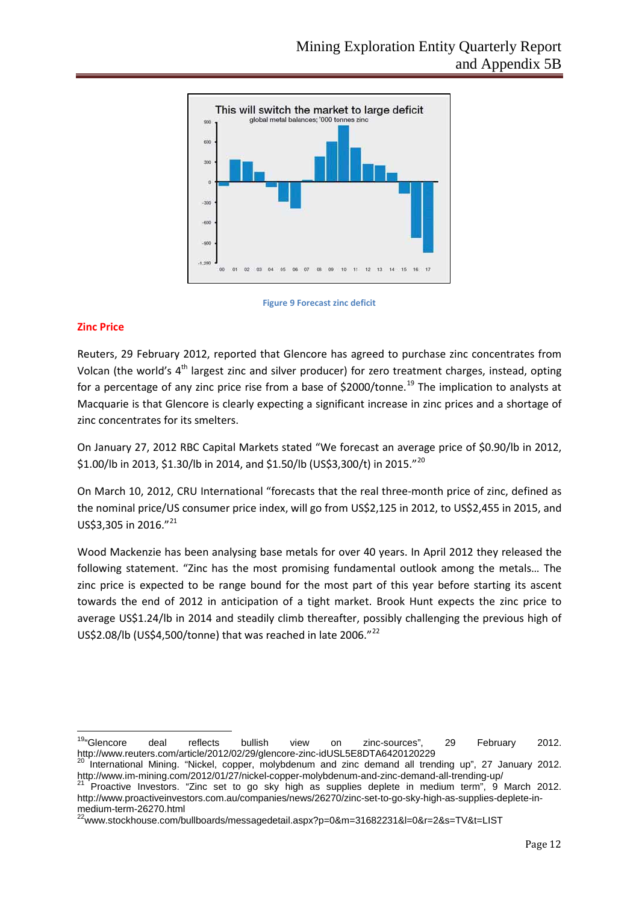

#### **Figure 9 Forecast zinc deficit**

#### **Zinc Price**

Reuters, 29 February 2012, reported that Glencore has agreed to purchase zinc concentrates from Volcan (the world's  $4<sup>th</sup>$  largest zinc and silver producer) for zero treatment charges, instead, opting for a percentage of any zinc price rise from a base of \$2000/tonne.<sup>[19](#page-11-0)</sup> The implication to analysts at Macquarie is that Glencore is clearly expecting a significant increase in zinc prices and a shortage of zinc concentrates for its smelters.

On January 27, 2012 RBC Capital Markets stated "We forecast an average price of \$0.90/lb in 2012, \$1.00/lb in 2013, \$1.30/lb in 2014, and \$1.50/lb (US\$3,300/t) in 2015."[20](#page-11-1)

On March 10, 2012, CRU International "forecasts that the real three-month price of zinc, defined as the nominal price/US consumer price index, will go from US\$2,125 in 2012, to US\$2,455 in 2015, and US\$3,305 in 2016."<sup>[21](#page-11-2)</sup>

Wood Mackenzie has been analysing base metals for over 40 years. In April 2012 they released the following statement. "Zinc has the most promising fundamental outlook among the metals… The zinc price is expected to be range bound for the most part of this year before starting its ascent towards the end of 2012 in anticipation of a tight market. Brook Hunt expects the zinc price to average US\$1.24/lb in 2014 and steadily climb thereafter, possibly challenging the previous high of US\$2.08/lb (US\$4.500/tonne) that was reached in late 2006."<sup>[22](#page-11-3)</sup>

<sup>————————————————————&</sup>lt;br><sup>19</sup>"Glencore deal reflects bullish view on zinc-sources", 29 February 2012.

<span id="page-11-1"></span><span id="page-11-0"></span>http://www.reuters.com/article/2012/02/29/glencore-zinc-idUSL5E8DTA6420120229<br><sup>20</sup> International Mining. "Nickel, copper, molybdenum and zinc demand all trending up", 27 January 2012.<br>http://www.im-mining.com/2012/01/27/ni

<span id="page-11-2"></span> $21$  Proactive Investors. "Zinc set to go sky high as supplies deplete in medium term", 9 March 2012. http://www.proactiveinvestors.com.au/companies/news/26270/zinc-set-to-go-sky-high-as-supplies-deplete-inmedium-term-26270.html<br><sup>22</sup>www.stockhouse.com/bullboards/messagedetail.aspx?p=0&m=31682231&l=0&r=2&s=TV&t=LIST

<span id="page-11-3"></span>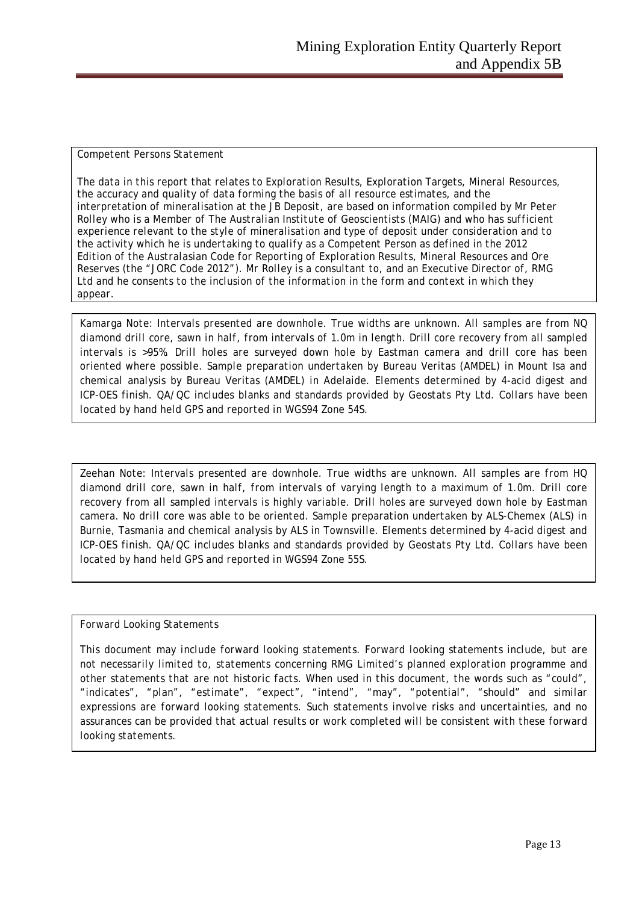#### *Competent Persons Statement*

*The data in this report that relates to Exploration Results, Exploration Targets, Mineral Resources, the accuracy and quality of data forming the basis of all resource estimates, and the interpretation of mineralisation at the JB Deposit, are based on information compiled by Mr Peter Rolley who is a Member of The Australian Institute of Geoscientists (MAIG) and who has sufficient experience relevant to the style of mineralisation and type of deposit under consideration and to the activity which he is undertaking to qualify as a Competent Person as defined in the 2012 Edition of the Australasian Code for Reporting of Exploration Results, Mineral Resources and Ore Reserves (the "JORC Code 2012"). Mr Rolley is a consultant to, and an Executive Director of, RMG Ltd and he consents to the inclusion of the information in the form and context in which they appear.*

*Kamarga Note: Intervals presented are downhole. True widths are unknown. All samples are from NQ diamond drill core, sawn in half, from intervals of 1.0m in length. Drill core recovery from all sampled intervals is >95%. Drill holes are surveyed down hole by Eastman camera and drill core has been oriented where possible. Sample preparation undertaken by Bureau Veritas (AMDEL) in Mount Isa and chemical analysis by Bureau Veritas (AMDEL) in Adelaide. Elements determined by 4-acid digest and ICP-OES finish. QA/QC includes blanks and standards provided by Geostats Pty Ltd. Collars have been located by hand held GPS and reported in WGS94 Zone 54S.*

*Zeehan Note: Intervals presented are downhole. True widths are unknown. All samples are from HQ diamond drill core, sawn in half, from intervals of varying length to a maximum of 1.0m. Drill core recovery from all sampled intervals is highly variable. Drill holes are surveyed down hole by Eastman camera. No drill core was able to be oriented. Sample preparation undertaken by ALS-Chemex (ALS) in Burnie, Tasmania and chemical analysis by ALS in Townsville. Elements determined by 4-acid digest and ICP-OES finish. QA/QC includes blanks and standards provided by Geostats Pty Ltd. Collars have been located by hand held GPS and reported in WGS94 Zone 55S.*

#### *Forward Looking Statements*

*This document may include forward looking statements. Forward looking statements include, but are not necessarily limited to, statements concerning RMG Limited's planned exploration programme and other statements that are not historic facts. When used in this document, the words such as "could", "indicates", "plan", "estimate", "expect", "intend", "may", "potential", "should" and similar expressions are forward looking statements. Such statements involve risks and uncertainties, and no assurances can be provided that actual results or work completed will be consistent with these forward looking statements.*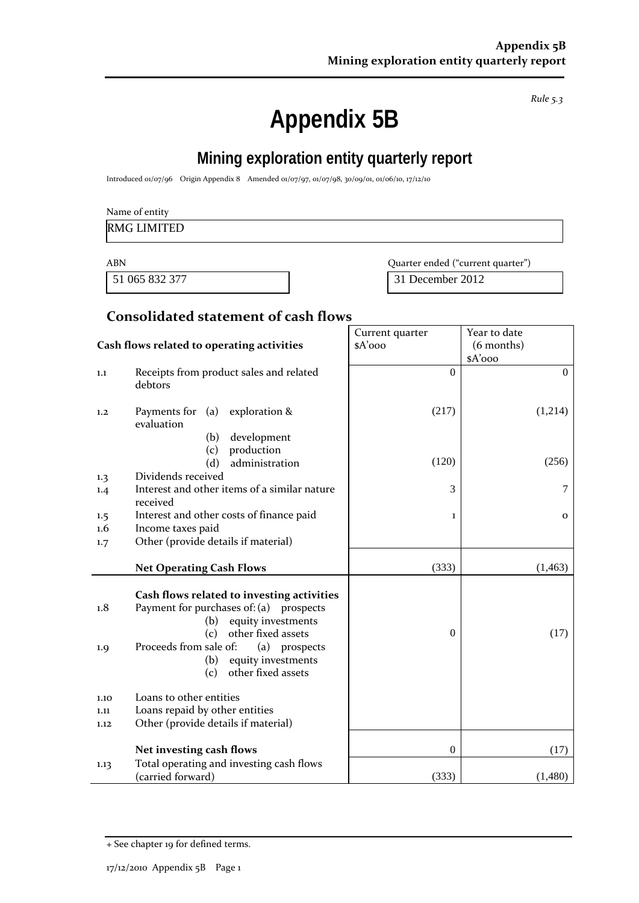*Rule 5.3*

# **Appendix 5B**

## **Mining exploration entity quarterly report**

Introduced 01/07/96 Origin Appendix 8 Amended 01/07/97, 01/07/98, 30/09/01, 01/06/10, 17/12/10

#### Name of entity

#### RMG LIMITED

51 065 832 377 31 December 2012

ABN **ABN** Quarter ended ("current quarter")

### **Consolidated statement of cash flows**

|            |                                                                                                                                                                                                                         | Current quarter  | Year to date   |
|------------|-------------------------------------------------------------------------------------------------------------------------------------------------------------------------------------------------------------------------|------------------|----------------|
|            | Cash flows related to operating activities                                                                                                                                                                              | \$A'ooo          | (6 months)     |
|            |                                                                                                                                                                                                                         |                  | $A'$ 000       |
| 1.1        | Receipts from product sales and related<br>debtors                                                                                                                                                                      | $\theta$         | $\overline{0}$ |
| 1,2        | Payments for $(a)$ exploration &<br>evaluation                                                                                                                                                                          | (217)            | (1,214)        |
|            | development<br>(b)                                                                                                                                                                                                      |                  |                |
|            | production<br>(c)                                                                                                                                                                                                       |                  |                |
|            | (d)<br>administration                                                                                                                                                                                                   | (120)            | (256)          |
| 1.3        | Dividends received                                                                                                                                                                                                      |                  |                |
| 1.4        | Interest and other items of a similar nature<br>received                                                                                                                                                                | 3                | $\overline{7}$ |
| 1.5        | Interest and other costs of finance paid                                                                                                                                                                                | 1                | $\mathbf{o}$   |
| 1.6        | Income taxes paid                                                                                                                                                                                                       |                  |                |
| 1.7        | Other (provide details if material)                                                                                                                                                                                     |                  |                |
|            |                                                                                                                                                                                                                         |                  |                |
|            | <b>Net Operating Cash Flows</b>                                                                                                                                                                                         | (333)            | (1, 463)       |
| 1.8<br>1.9 | Cash flows related to investing activities<br>Payment for purchases of: (a) prospects<br>equity investments<br>(b)<br>other fixed assets<br>(c)<br>Proceeds from sale of:<br>(a) prospects<br>equity investments<br>(b) | $\Omega$         | (17)           |
|            | other fixed assets<br>(c)                                                                                                                                                                                               |                  |                |
| 1.10       | Loans to other entities                                                                                                                                                                                                 |                  |                |
| 1.11       | Loans repaid by other entities                                                                                                                                                                                          |                  |                |
| 1.12       | Other (provide details if material)                                                                                                                                                                                     |                  |                |
|            | Net investing cash flows                                                                                                                                                                                                | $\boldsymbol{0}$ | (17)           |
| 1.13       | Total operating and investing cash flows<br>(carried forward)                                                                                                                                                           | (333)            | (1,480)        |

<sup>+</sup> See chapter 19 for defined terms.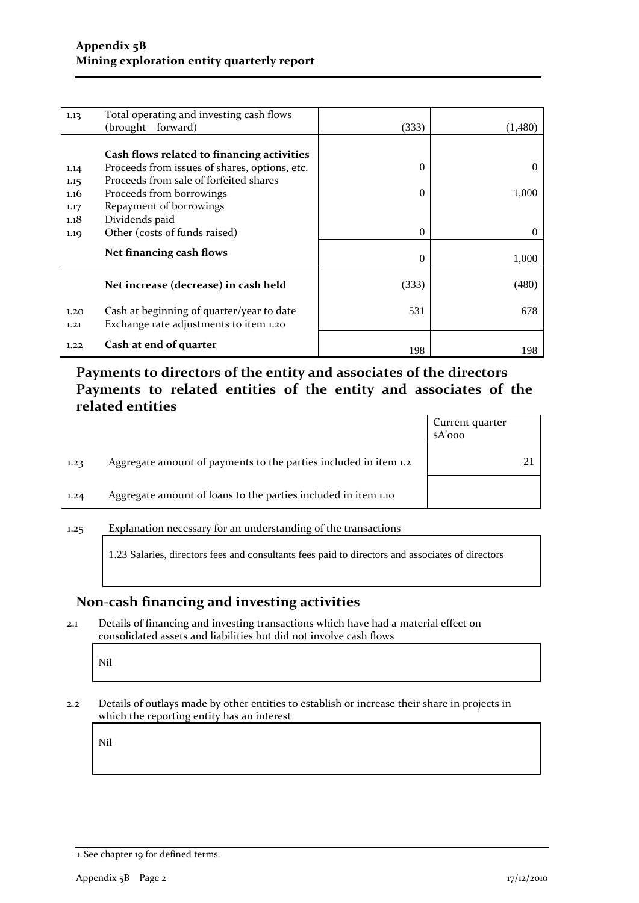| 1.13 | Total operating and investing cash flows      |          |          |
|------|-----------------------------------------------|----------|----------|
|      | (brought forward)                             | (333)    | (1,480)  |
|      |                                               |          |          |
|      | Cash flows related to financing activities    |          |          |
| 1.14 | Proceeds from issues of shares, options, etc. | 0        | $\theta$ |
| 1.15 | Proceeds from sale of forfeited shares        |          |          |
| 1.16 | Proceeds from borrowings                      | 0        | 1,000    |
| 1.17 | Repayment of borrowings                       |          |          |
| 1.18 | Dividends paid                                |          |          |
| 1.19 | Other (costs of funds raised)                 | $\Omega$ | $\theta$ |
|      |                                               |          |          |
|      | Net financing cash flows                      | 0        | 1,000    |
|      |                                               |          |          |
|      | Net increase (decrease) in cash held          | (333)    | (480)    |
|      |                                               |          |          |
| 1.20 | Cash at beginning of quarter/year to date     | 531      | 678      |
| 1.21 | Exchange rate adjustments to item 1.20        |          |          |
|      |                                               |          |          |
| 1.22 | Cash at end of quarter                        | 198      | 198      |
|      |                                               |          |          |

## **Payments to directors of the entity and associates of the directors Payments to related entities of the entity and associates of the related entities**

|      |                                                                  | Current quarter<br>$A'$ ooo |    |
|------|------------------------------------------------------------------|-----------------------------|----|
| 1.23 | Aggregate amount of payments to the parties included in item 1.2 |                             | 21 |
| 1.24 | Aggregate amount of loans to the parties included in item 1.10   |                             |    |
| 1.25 | Explanation necessary for an understanding of the transactions   |                             |    |

1.23 Salaries, directors fees and consultants fees paid to directors and associates of directors

## **Non-cash financing and investing activities**

2.1 Details of financing and investing transactions which have had a material effect on consolidated assets and liabilities but did not involve cash flows

Nil

2.2 Details of outlays made by other entities to establish or increase their share in projects in which the reporting entity has an interest

Nil

<sup>+</sup> See chapter 19 for defined terms.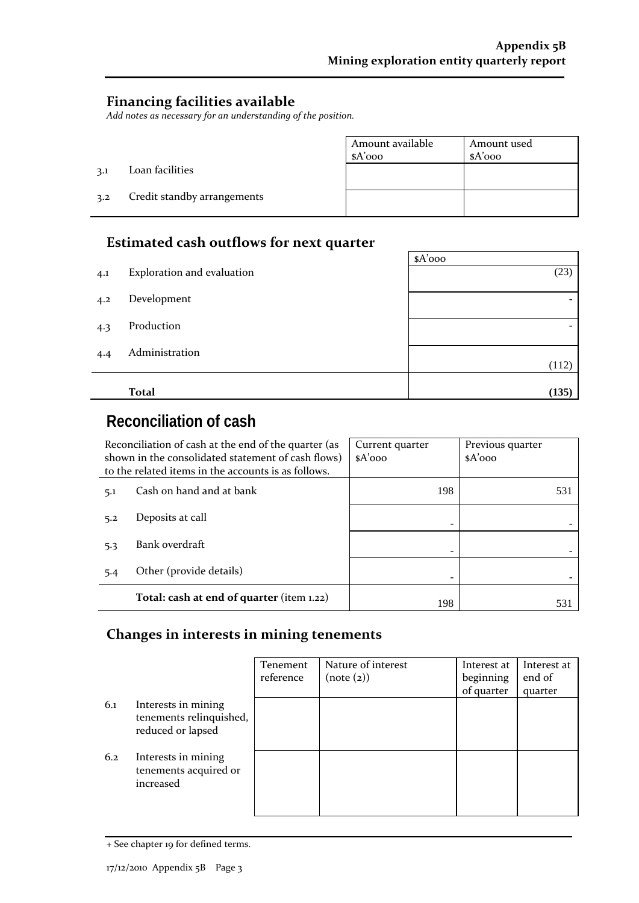## **Financing facilities available**

*Add notes as necessary for an understanding of the position.*

|     |                             | Amount available | Amount used |
|-----|-----------------------------|------------------|-------------|
|     |                             | $A'$ 000         | $A'$ 000    |
| 3.1 | Loan facilities             |                  |             |
| 3.2 | Credit standby arrangements |                  |             |

## **Estimated cash outflows for next quarter**

|     | sochinate a caon o acho no for nent quarter |          |
|-----|---------------------------------------------|----------|
|     |                                             | $A'$ 000 |
| 4.1 | Exploration and evaluation                  | (23)     |
|     |                                             |          |
| 4.2 | Development                                 |          |
|     | Production                                  |          |
| 4.3 |                                             |          |
| 4.4 | Administration                              |          |
|     |                                             | (112)    |
|     |                                             |          |
|     | <b>Total</b>                                | (135)    |

## **Reconciliation of cash**

|     | Reconciliation of cash at the end of the quarter (as<br>shown in the consolidated statement of cash flows)<br>to the related items in the accounts is as follows. | Current quarter<br>$A'$ 000 | Previous quarter<br>$A'$ 000 |
|-----|-------------------------------------------------------------------------------------------------------------------------------------------------------------------|-----------------------------|------------------------------|
| 5.1 | Cash on hand and at bank                                                                                                                                          | 198                         | 531                          |
| 5.2 | Deposits at call                                                                                                                                                  |                             |                              |
| 5.3 | Bank overdraft                                                                                                                                                    |                             |                              |
| 5.4 | Other (provide details)                                                                                                                                           |                             |                              |
|     | Total: cash at end of quarter (item 1.22)                                                                                                                         | 198                         | 531                          |

### **Changes in interests in mining tenements**

|     |                                                                     | Tenement<br>reference | Nature of interest<br>(note (2)) | Interest at<br>beginning<br>of quarter | Interest at<br>end of<br>quarter |
|-----|---------------------------------------------------------------------|-----------------------|----------------------------------|----------------------------------------|----------------------------------|
| 6.1 | Interests in mining<br>tenements relinquished,<br>reduced or lapsed |                       |                                  |                                        |                                  |
| 6.2 | Interests in mining<br>tenements acquired or<br>increased           |                       |                                  |                                        |                                  |

<sup>+</sup> See chapter 19 for defined terms.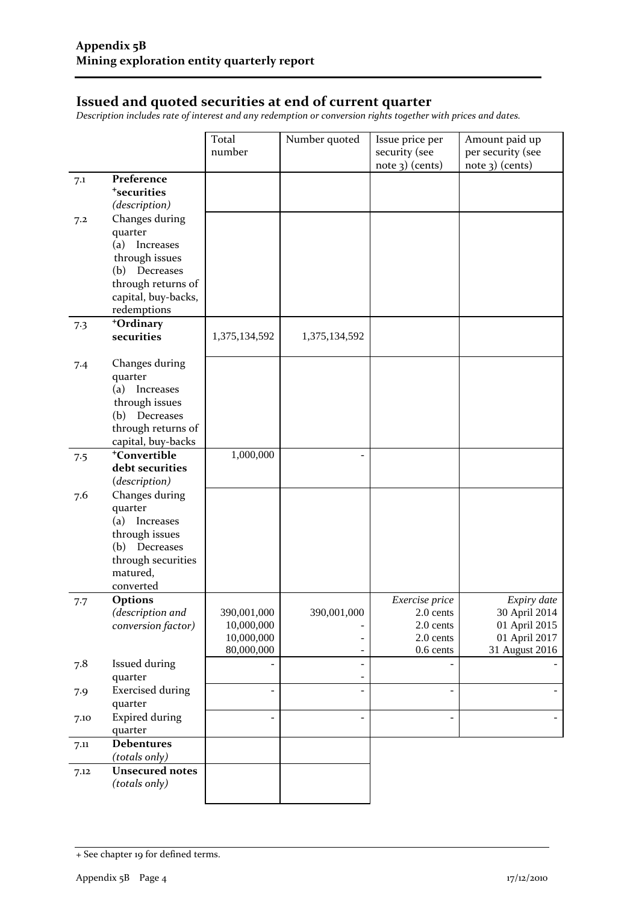### **Issued and quoted securities at end of current quarter**

*Description includes rate of interest and any redemption or conversion rights together with prices and dates.*

|      |                                    | Total         | Number quoted            | Issue price per | Amount paid up    |
|------|------------------------------------|---------------|--------------------------|-----------------|-------------------|
|      |                                    | number        |                          | security (see   | per security (see |
|      |                                    |               |                          | note 3) (cents) | $note$ 3) (cents) |
| 7.1  | Preference                         |               |                          |                 |                   |
|      | <sup>+</sup> securities            |               |                          |                 |                   |
|      | (description)<br>Changes during    |               |                          |                 |                   |
| 7.2  | quarter                            |               |                          |                 |                   |
|      | (a) Increases                      |               |                          |                 |                   |
|      | through issues                     |               |                          |                 |                   |
|      | (b) Decreases                      |               |                          |                 |                   |
|      | through returns of                 |               |                          |                 |                   |
|      | capital, buy-backs,                |               |                          |                 |                   |
|      | redemptions                        |               |                          |                 |                   |
| 7.3  | +Ordinary                          |               |                          |                 |                   |
|      | securities                         | 1,375,134,592 | 1,375,134,592            |                 |                   |
|      |                                    |               |                          |                 |                   |
| 7.4  | Changes during                     |               |                          |                 |                   |
|      | quarter<br>(a)                     |               |                          |                 |                   |
|      | Increases<br>through issues        |               |                          |                 |                   |
|      | Decreases<br>(b)                   |               |                          |                 |                   |
|      | through returns of                 |               |                          |                 |                   |
|      | capital, buy-backs                 |               |                          |                 |                   |
| 7.5  | <sup>+</sup> Convertible           | 1,000,000     |                          |                 |                   |
|      | debt securities                    |               |                          |                 |                   |
|      | (description)                      |               |                          |                 |                   |
| 7.6  | Changes during                     |               |                          |                 |                   |
|      | quarter                            |               |                          |                 |                   |
|      | (a) Increases                      |               |                          |                 |                   |
|      | through issues<br>(b) Decreases    |               |                          |                 |                   |
|      | through securities                 |               |                          |                 |                   |
|      | matured,                           |               |                          |                 |                   |
|      | converted                          |               |                          |                 |                   |
| 7.7  | Options                            |               |                          | Exercise price  | Expiry date       |
|      | (description and                   | 390,001,000   | 390,001,000              | 2.0 cents       | 30 April 2014     |
|      | conversion factor)                 | 10,000,000    |                          | 2.0 cents       | 01 April 2015     |
|      |                                    | 10,000,000    |                          | 2.0 cents       | 01 April 2017     |
|      |                                    | 80,000,000    |                          | $0.6$ cents     | 31 August 2016    |
| 7.8  | <b>Issued during</b>               |               | $\overline{\phantom{0}}$ |                 |                   |
|      | quarter<br><b>Exercised during</b> |               | ÷,                       |                 |                   |
| 7.9  | quarter                            |               |                          |                 |                   |
| 7.10 | <b>Expired during</b>              |               | ÷,                       |                 |                   |
|      | quarter                            |               |                          |                 |                   |
| 7.11 | <b>Debentures</b>                  |               |                          |                 |                   |
|      | (totals only)                      |               |                          |                 |                   |
| 7.12 | Unsecured notes                    |               |                          |                 |                   |
|      | (totals only)                      |               |                          |                 |                   |
|      |                                    |               |                          |                 |                   |

<sup>+</sup> See chapter 19 for defined terms.